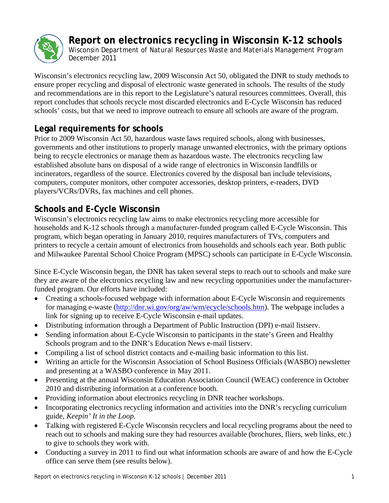

**Report on electronics recycling in Wisconsin K-12 schools** 

*Wisconsin Department of Natural Resources Waste and Materials Management Program December 2011* 

Wisconsin's electronics recycling law, 2009 Wisconsin Act 50, obligated the DNR to study methods to ensure proper recycling and disposal of electronic waste generated in schools. The results of the study and recommendations are in this report to the Legislature's natural resources committees. Overall, this report concludes that schools recycle most discarded electronics and E-Cycle Wisconsin has reduced schools' costs, but that we need to improve outreach to ensure all schools are aware of the program.

# **Legal requirements for schools**

Prior to 2009 Wisconsin Act 50, hazardous waste laws required schools, along with businesses, governments and other institutions to properly manage unwanted electronics, with the primary options being to recycle electronics or manage them as hazardous waste. The electronics recycling law established absolute bans on disposal of a wide range of electronics in Wisconsin landfills or incinerators, regardless of the source. Electronics covered by the disposal ban include televisions, computers, computer monitors, other computer accessories, desktop printers, e-readers, DVD players/VCRs/DVRs, fax machines and cell phones.

# **Schools and E-Cycle Wisconsin**

Wisconsin's electronics recycling law aims to make electronics recycling more accessible for households and K-12 schools through a manufacturer-funded program called E-Cycle Wisconsin. This program, which began operating in January 2010, requires manufacturers of TVs, computers and printers to recycle a certain amount of electronics from households and schools each year. Both public and Milwaukee Parental School Choice Program (MPSC) schools can participate in E-Cycle Wisconsin.

Since E-Cycle Wisconsin began, the DNR has taken several steps to reach out to schools and make sure they are aware of the electronics recycling law and new recycling opportunities under the manufacturerfunded program. Our efforts have included:

- Creating a schools-focused webpage with information about E-Cycle Wisconsin and requirements for managing e-waste [\(http://dnr.wi.gov/org/aw/wm/ecycle/schools.htm\)](http://dnr.wi.gov/org/aw/wm/ecycle/schools.htm). The webpage includes a link for signing up to receive E-Cycle Wisconsin e-mail updates.
- Distributing information through a Department of Public Instruction (DPI) e-mail listserv.
- Sending information about E-Cycle Wisconsin to participants in the state's Green and Healthy Schools program and to the DNR's Education News e-mail listserv.
- Compiling a list of school district contacts and e-mailing basic information to this list.
- Writing an article for the Wisconsin Association of School Business Officials (WASBO) newsletter and presenting at a WASBO conference in May 2011.
- Presenting at the annual Wisconsin Education Association Council (WEAC) conference in October 2010 and distributing information at a conference booth.
- Providing information about electronics recycling in DNR teacher workshops.
- Incorporating electronics recycling information and activities into the DNR's recycling curriculum guide, *Keepin' It in the Loop*.
- Talking with registered E-Cycle Wisconsin recyclers and local recycling programs about the need to reach out to schools and making sure they had resources available (brochures, fliers, web links, etc.) to give to schools they work with.
- Conducting a survey in 2011 to find out what information schools are aware of and how the E-Cycle office can serve them (see results below).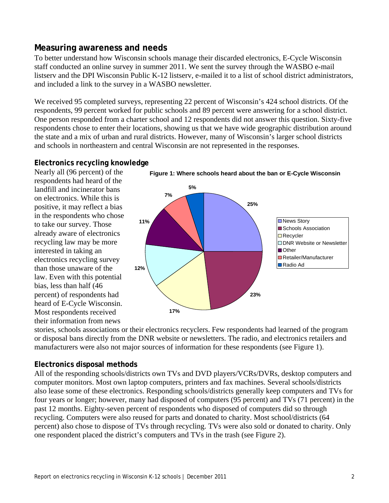## **Measuring awareness and needs**

To better understand how Wisconsin schools manage their discarded electronics, E-Cycle Wisconsin staff conducted an online survey in summer 2011. We sent the survey through the WASBO e-mail listserv and the DPI Wisconsin Public K-12 listserv, e-mailed it to a list of school district administrators, and included a link to the survey in a WASBO newsletter.

We received 95 completed surveys, representing 22 percent of Wisconsin's 424 school districts. Of the respondents, 99 percent worked for public schools and 89 percent were answering for a school district. One person responded from a charter school and 12 respondents did not answer this question. Sixty-five respondents chose to enter their locations, showing us that we have wide geographic distribution around the state and a mix of urban and rural districts. However, many of Wisconsin's larger school districts and schools in northeastern and central Wisconsin are not represented in the responses.

### **Electronics recycling knowledge**

Nearly all (96 percent) of the respondents had heard of the landfill and incinerator bans on electronics. While this is positive, it may reflect a bias in the respondents who chose to take our survey. Those already aware of electronics recycling law may be more interested in taking an electronics recycling survey than those unaware of the law. Even with this potential bias, less than half (46 percent) of respondents had heard of E-Cycle Wisconsin. Most respondents received their information from news



stories, schools associations or their electronics recyclers. Few respondents had learned of the program or disposal bans directly from the DNR website or newsletters. The radio, and electronics retailers and manufacturers were also not major sources of information for these respondents (see Figure 1).

## **Electronics disposal methods**

All of the responding schools/districts own TVs and DVD players/VCRs/DVRs, desktop computers and computer monitors. Most own laptop computers, printers and fax machines. Several schools/districts also lease some of these electronics. Responding schools/districts generally keep computers and TVs for four years or longer; however, many had disposed of computers (95 percent) and TVs (71 percent) in the past 12 months. Eighty-seven percent of respondents who disposed of computers did so through recycling. Computers were also reused for parts and donated to charity. Most school/districts (64 percent) also chose to dispose of TVs through recycling. TVs were also sold or donated to charity. Only one respondent placed the district's computers and TVs in the trash (see Figure 2).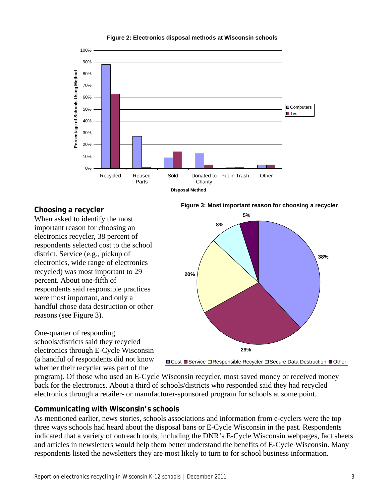

#### **Figure 2: Electronics disposal methods at Wisconsin schools**

### **Choosing a recycler**

When asked to identify the most important reason for choosing an electronics recycler, 38 percent of respondents selected cost to the school district. Service (e.g., pickup of electronics, wide range of electronics recycled) was most important to 29 percent. About one-fifth of respondents said responsible practices were most important, and only a handful chose data destruction or other reasons (see Figure 3).

One-quarter of responding schools/districts said they recycled electronics through E-Cycle Wisconsin (a handful of respondents did not know whether their recycler was part of the



**□ Cost ■ Service □ Responsible Recycler □ Secure Data Destruction ■ Other** 

program). Of those who used an E-Cycle Wisconsin recycler, most saved money or received money back for the electronics. About a third of schools/districts who responded said they had recycled electronics through a retailer- or manufacturer-sponsored program for schools at some point.

### **Communicating with Wisconsin's schools**

As mentioned earlier, news stories, schools associations and information from e-cyclers were the top three ways schools had heard about the disposal bans or E-Cycle Wisconsin in the past. Respondents indicated that a variety of outreach tools, including the DNR's E-Cycle Wisconsin webpages, fact sheets and articles in newsletters would help them better understand the benefits of E-Cycle Wisconsin. Many respondents listed the newsletters they are most likely to turn to for school business information.